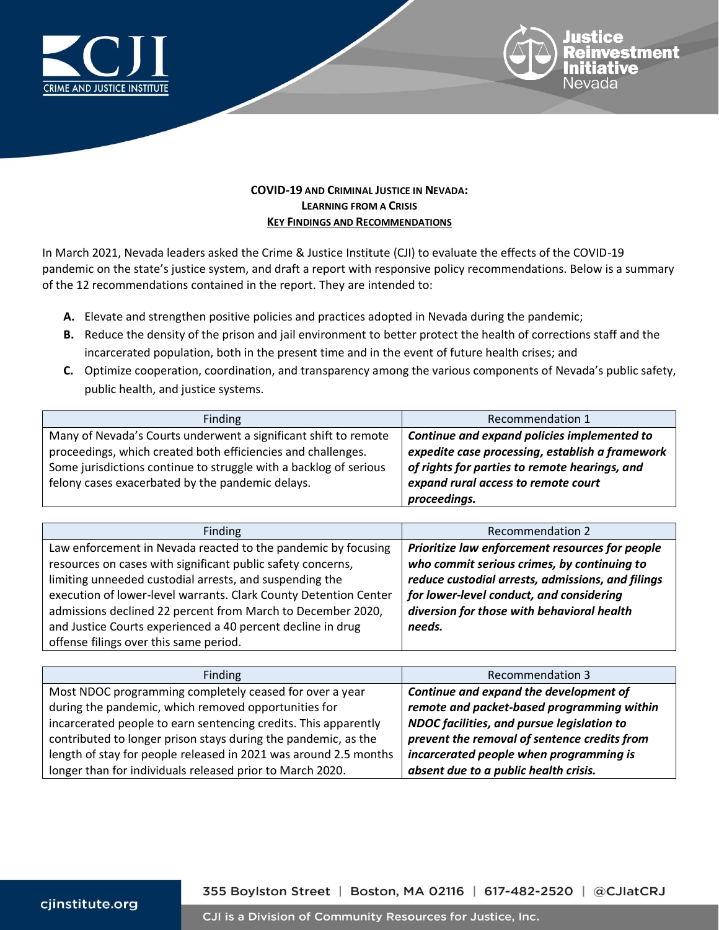



## **COVID-19 AND CRIMINAL JUSTICE IN NEVADA: LEARNING FROM A CRISIS KEY FINDINGS AND RECOMMENDATIONS**

In March 2021, Nevada leaders asked the Crime & Justice Institute (CJI) to evaluate the effects of the COVID-19 pandemic on the state's justice system, and draft a report with responsive policy recommendations. Below is a summary of the 12 recommendations contained in the report. They are intended to:

- **A.** Elevate and strengthen positive policies and practices adopted in Nevada during the pandemic;
- **B.** Reduce the density of the prison and jail environment to better protect the health of corrections staff and the incarcerated population, both in the present time and in the event of future health crises; and
- **C.** Optimize cooperation, coordination, and transparency among the various components of Nevada's public safety, public health, and justice systems.

| Finding                                                           | Recommendation 1                                |
|-------------------------------------------------------------------|-------------------------------------------------|
| Many of Nevada's Courts underwent a significant shift to remote   | Continue and expand policies implemented to     |
| proceedings, which created both efficiencies and challenges.      | expedite case processing, establish a framework |
| Some jurisdictions continue to struggle with a backlog of serious | of rights for parties to remote hearings, and   |
| felony cases exacerbated by the pandemic delays.                  | expand rural access to remote court             |
|                                                                   | proceedings.                                    |

| Finding                                                          | Recommendation 2                                  |
|------------------------------------------------------------------|---------------------------------------------------|
| Law enforcement in Nevada reacted to the pandemic by focusing    | Prioritize law enforcement resources for people   |
| resources on cases with significant public safety concerns,      | who commit serious crimes, by continuing to       |
| limiting unneeded custodial arrests, and suspending the          | reduce custodial arrests, admissions, and filings |
| execution of lower-level warrants. Clark County Detention Center | for lower-level conduct, and considering          |
| admissions declined 22 percent from March to December 2020,      | diversion for those with behavioral health        |
| and Justice Courts experienced a 40 percent decline in drug      | needs.                                            |
| offense filings over this same period.                           |                                                   |

| Finding                                                          | <b>Recommendation 3</b>                      |
|------------------------------------------------------------------|----------------------------------------------|
| Most NDOC programming completely ceased for over a year          | Continue and expand the development of       |
| during the pandemic, which removed opportunities for             | remote and packet-based programming within   |
| incarcerated people to earn sentencing credits. This apparently  | NDOC facilities, and pursue legislation to   |
| contributed to longer prison stays during the pandemic, as the   | prevent the removal of sentence credits from |
| length of stay for people released in 2021 was around 2.5 months | incarcerated people when programming is      |
| longer than for individuals released prior to March 2020.        | absent due to a public health crisis.        |

cjinstitute.org

## 355 Boylston Street | Boston, MA 02116 | 617-482-2520 | @CJIatCRJ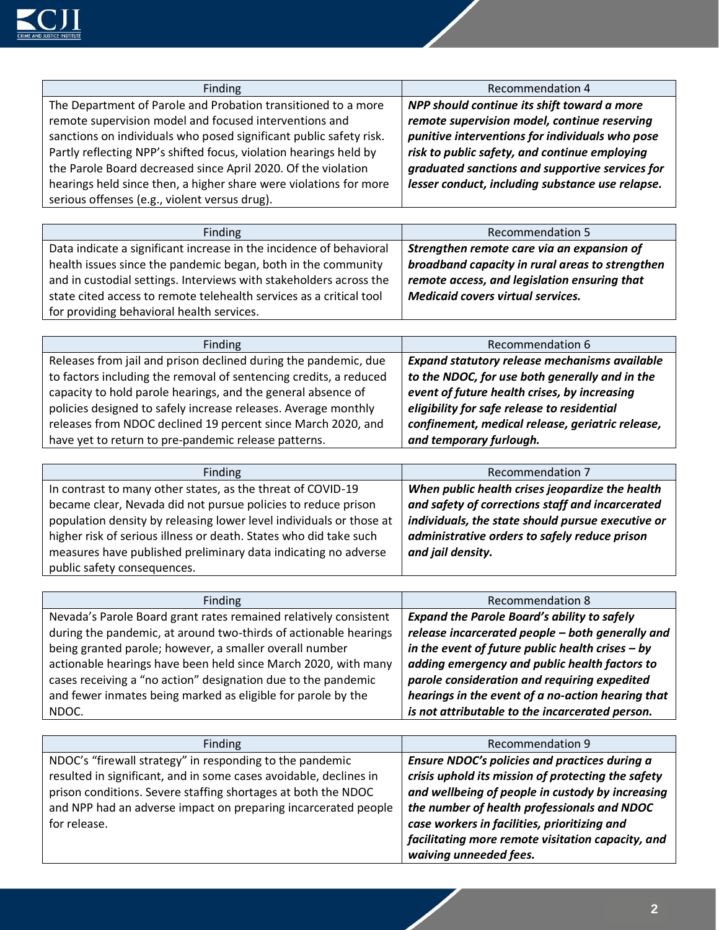

| Finding                                                            | Recommendation 4                                 |
|--------------------------------------------------------------------|--------------------------------------------------|
| The Department of Parole and Probation transitioned to a more      | NPP should continue its shift toward a more      |
| remote supervision model and focused interventions and             | remote supervision model, continue reserving     |
| sanctions on individuals who posed significant public safety risk. | punitive interventions for individuals who pose  |
| Partly reflecting NPP's shifted focus, violation hearings held by  | risk to public safety, and continue employing    |
| the Parole Board decreased since April 2020. Of the violation      | graduated sanctions and supportive services for  |
| hearings held since then, a higher share were violations for more  | lesser conduct, including substance use relapse. |
| serious offenses (e.g., violent versus drug).                      |                                                  |

| Finding                                                             | <b>Recommendation 5</b>                         |
|---------------------------------------------------------------------|-------------------------------------------------|
| Data indicate a significant increase in the incidence of behavioral | Strengthen remote care via an expansion of      |
| health issues since the pandemic began, both in the community       | broadband capacity in rural areas to strengthen |
| and in custodial settings. Interviews with stakeholders across the  | remote access, and legislation ensuring that    |
| state cited access to remote telehealth services as a critical tool | <b>Medicaid covers virtual services.</b>        |
| for providing behavioral health services.                           |                                                 |

| Finding                                                           | Recommendation 6                                 |
|-------------------------------------------------------------------|--------------------------------------------------|
| Releases from jail and prison declined during the pandemic, due   | Expand statutory release mechanisms available    |
| to factors including the removal of sentencing credits, a reduced | to the NDOC, for use both generally and in the   |
| capacity to hold parole hearings, and the general absence of      | event of future health crises, by increasing     |
| policies designed to safely increase releases. Average monthly    | eligibility for safe release to residential      |
| releases from NDOC declined 19 percent since March 2020, and      | confinement, medical release, geriatric release, |
| have yet to return to pre-pandemic release patterns.              | and temporary furlough.                          |

| Finding                                                             | Recommendation 7                                  |
|---------------------------------------------------------------------|---------------------------------------------------|
| In contrast to many other states, as the threat of COVID-19         | When public health crises jeopardize the health   |
| became clear, Nevada did not pursue policies to reduce prison       | and safety of corrections staff and incarcerated  |
| population density by releasing lower level individuals or those at | individuals, the state should pursue executive or |
| higher risk of serious illness or death. States who did take such   | administrative orders to safely reduce prison     |
| measures have published preliminary data indicating no adverse      | and jail density.                                 |
| public safety consequences.                                         |                                                   |

| Finding                                                          | <b>Recommendation 8</b>                            |
|------------------------------------------------------------------|----------------------------------------------------|
| Nevada's Parole Board grant rates remained relatively consistent | <b>Expand the Parole Board's ability to safely</b> |
| during the pandemic, at around two-thirds of actionable hearings | release incarcerated people - both generally and   |
| being granted parole; however, a smaller overall number          | in the event of future public health crises $-$ by |
| actionable hearings have been held since March 2020, with many   | adding emergency and public health factors to      |
| cases receiving a "no action" designation due to the pandemic    | parole consideration and requiring expedited       |
| and fewer inmates being marked as eligible for parole by the     | hearings in the event of a no-action hearing that  |
| NDOC.                                                            | is not attributable to the incarcerated person.    |

| Finding                                                                                                                                                                                                                                                          | Recommendation 9                                                                                                                                                                                       |
|------------------------------------------------------------------------------------------------------------------------------------------------------------------------------------------------------------------------------------------------------------------|--------------------------------------------------------------------------------------------------------------------------------------------------------------------------------------------------------|
| NDOC's "firewall strategy" in responding to the pandemic<br>resulted in significant, and in some cases avoidable, declines in<br>prison conditions. Severe staffing shortages at both the NDOC<br>and NPP had an adverse impact on preparing incarcerated people | Ensure NDOC's policies and practices during a<br>crisis uphold its mission of protecting the safety<br>and wellbeing of people in custody by increasing<br>the number of health professionals and NDOC |
| for release.                                                                                                                                                                                                                                                     | case workers in facilities, prioritizing and<br>facilitating more remote visitation capacity, and<br>waiving unneeded fees.                                                                            |